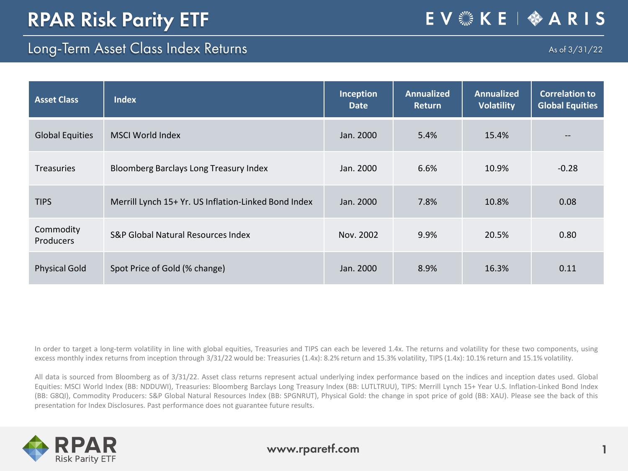## Long-Term Asset Class Index Returns

As of 3/31/22

| <b>Asset Class</b>     | <b>Index</b>                                         | Inception<br><b>Date</b> | <b>Annualized</b><br><b>Return</b> | <b>Annualized</b><br><b>Volatility</b> | <b>Correlation to</b><br><b>Global Equities</b> |
|------------------------|------------------------------------------------------|--------------------------|------------------------------------|----------------------------------------|-------------------------------------------------|
| <b>Global Equities</b> | <b>MSCI World Index</b>                              | Jan. 2000                | 5.4%                               | 15.4%                                  | --                                              |
| <b>Treasuries</b>      | Bloomberg Barclays Long Treasury Index               | Jan. 2000                | 6.6%                               | 10.9%                                  | $-0.28$                                         |
| <b>TIPS</b>            | Merrill Lynch 15+ Yr. US Inflation-Linked Bond Index | Jan. 2000                | 7.8%                               | 10.8%                                  | 0.08                                            |
| Commodity<br>Producers | S&P Global Natural Resources Index                   | Nov. 2002                | 9.9%                               | 20.5%                                  | 0.80                                            |
| <b>Physical Gold</b>   | Spot Price of Gold (% change)                        | Jan. 2000                | 8.9%                               | 16.3%                                  | 0.11                                            |

In order to target a long-term volatility in line with global equities, Treasuries and TIPS can each be levered 1.4x. The returns and volatility for these two components, using excess monthly index returns from inception through 3/31/22 would be: Treasuries (1.4x): 8.2% return and 15.3% volatility, TIPS (1.4x): 10.1% return and 15.1% volatility.

All data is sourced from Bloomberg as of 3/31/22. Asset class returns represent actual underlying index performance based on the indices and inception dates used. Global Equities: MSCI World Index (BB: NDDUWI), Treasuries: Bloomberg Barclays Long Treasury Index (BB: LUTLTRUU), TIPS: Merrill Lynch 15+ Year U.S. Inflation-Linked Bond Index (BB: G8QI), Commodity Producers: S&P Global Natural Resources Index (BB: SPGNRUT), Physical Gold: the change in spot price of gold (BB: XAU). Please see the back of this presentation for Index Disclosures. Past performance does not guarantee future results.

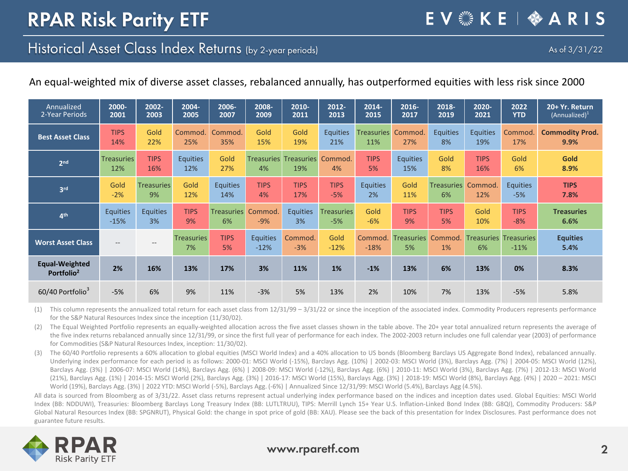## Historical Asset Class Index Returns (by 2-year periods)

EV & KE | � A R I S

#### An equal-weighted mix of diverse asset classes, rebalanced annually, has outperformed equities with less risk since 2000

| Annualized                                      | 2000-                    | 2002-              | 2004-                   | 2006-             | 2008-                     | 2010-                               | 2012-             | 2014-             | 2016-                   | 2018-             | 2020-                              | 2022            | 20+ Yr. Return          |
|-------------------------------------------------|--------------------------|--------------------|-------------------------|-------------------|---------------------------|-------------------------------------|-------------------|-------------------|-------------------------|-------------------|------------------------------------|-----------------|-------------------------|
| 2-Year Periods                                  | 2001                     | 2003               | 2005                    | 2007              | 2009                      | 2011                                | 2013              | 2015              | 2017                    | 2019              | 2021                               | <b>YTD</b>      | $(Annualized)^1$        |
| <b>Best Asset Class</b>                         | <b>TIPS</b>              | Gold               | Commod.                 | Commod.           | Gold                      | Gold                                | <b>Equities</b>   | <b>Treasuries</b> | Commod.                 | <b>Equities</b>   | <b>Equities</b>                    | Commod.         | <b>Commodity Prod.</b>  |
|                                                 | 14%                      | 22%                | 25%                     | 35%               | 15%                       | 19%                                 | 21%               | 11%               | 27%                     | 8%                | 19%                                | 17%             | 9.9%                    |
| 2 <sub>nd</sub>                                 | <b>Treasuries</b><br>12% | <b>TIPS</b><br>16% | <b>Equities</b><br>12%  | Gold<br>27%       | 4%                        | <b>Treasuries Treasuries</b><br>19% | Commod.<br>4%     | <b>TIPS</b><br>5% | <b>Equities</b><br>15%  | Gold<br>8%        | <b>TIPS</b><br>16%                 | Gold<br>6%      | <b>Gold</b><br>8.9%     |
| 3 <sup>rd</sup>                                 | Gold                     | <b>Treasuries</b>  | Gold                    | <b>Equities</b>   | <b>TIPS</b>               | <b>TIPS</b>                         | <b>TIPS</b>       | <b>Equities</b>   | Gold                    | <b>Treasuries</b> | Commod.                            | <b>Equities</b> | <b>TIPS</b>             |
|                                                 | $-2%$                    | 9%                 | 12%                     | 14%               | 4%                        | 17%                                 | $-5%$             | 2%                | 11%                     | 6%                | 12%                                | $-5%$           | 7.8%                    |
| 4 <sup>th</sup>                                 | <b>Equities</b>          | <b>Equities</b>    | <b>TIPS</b>             | <b>Treasuries</b> | Commod.                   | <b>Equities</b>                     | <b>Treasuries</b> | Gold              | <b>TIPS</b>             | <b>TIPS</b>       | Gold                               | <b>TIPS</b>     | <b>Treasuries</b>       |
|                                                 | $-15%$                   | 3%                 | 9%                      | 6%                | $-9%$                     | 3%                                  | $-5%$             | $-6%$             | 9%                      | 5%                | 10%                                | $-8%$           | 6.6%                    |
| <b>Worst Asset Class</b>                        | $- -$                    | $- -$              | <b>Treasuries</b><br>7% | <b>TIPS</b><br>5% | <b>Equities</b><br>$-12%$ | Commod.<br>$-3%$                    | Gold<br>$-12%$    | Commod.<br>$-18%$ | <b>Treasuries</b><br>5% | Commod.<br>1%     | <b>Treasuries Treasuries</b><br>6% | $-11%$          | <b>Equities</b><br>5.4% |
| <b>Equal-Weighted</b><br>Portfolio <sup>2</sup> | 2%                       | 16%                | 13%                     | 17%               | 3%                        | 11%                                 | 1%                | $-1%$             | 13%                     | 6%                | 13%                                | 0%              | 8.3%                    |
| 60/40 Portfolio3                                | $-5%$                    | 6%                 | 9%                      | 11%               | $-3%$                     | 5%                                  | 13%               | 2%                | 10%                     | 7%                | 13%                                | $-5%$           | 5.8%                    |

(1) This column represents the annualized total return for each asset class from 12/31/99 - 3/31/22 or since the inception of the associated index. Commodity Producers represents performance for the S&P Natural Resources Index since the inception (11/30/02).

(2) The Equal Weighted Portfolio represents an equally-weighted allocation across the five asset classes shown in the table above. The 20+ year total annualized return represents the average of the five index returns rebalanced annually since 12/31/99, or since the first full year of performance for each index. The 2002-2003 return includes one full calendar year (2003) of performance for Commodities (S&P Natural Resources Index, inception: 11/30/02).

(3) The 60/40 Portfolio represents a 60% allocation to global equities (MSCI World Index) and a 40% allocation to US bonds (Bloomberg Barclays US Aggregate Bond Index), rebalanced annually. Underlying index performance for each period is as follows: 2000-01: MSCI World (-15%), Barclays Agg. (10%) | 2002-03: MSCI World (3%), Barclays Agg. (7%) | 2004-05: MSCI World (12%), Barclays Agg. (3%) | 2006-07: MSCI World (14%), Barclays Agg. (6%) | 2008-09: MSCI World (-12%), Barclays Agg. (6%) | 2010-11: MSCI World (3%), Barclays Agg. (7%) | 2012-13: MSCI World (21%), Barclays Agg. (1%) | 2014-15: MSCI World (2%), Barclays Agg. (3%) | 2016-17: MSCI World (15%), Barclays Agg. (3%) | 2018-19: MSCI World (8%), Barclays Agg. (4%) | 2020 – 2021: MSCI World (19%), Barclays Agg. (3%) | 2022 YTD: MSCI World (-5%), Barclays Agg. (-6%) | Annualized Since 12/31/99: MSCI World (5.4%), Barclays Agg (4.5%).

All data is sourced from Bloomberg as of 3/31/22. Asset class returns represent actual underlying index performance based on the indices and inception dates used. Global Equities: MSCI World Index (BB: NDDUWI), Treasuries: Bloomberg Barclays Long Treasury Index (BB: LUTLTRUU), TIPS: Merrill Lynch 15+ Year U.S. Inflation-Linked Bond Index (BB: G8QI), Commodity Producers: S&P Global Natural Resources Index (BB: SPGNRUT), Physical Gold: the change in spot price of gold (BB: XAU). Please see the back of this presentation for Index Disclosures. Past performance does not guarantee future results.